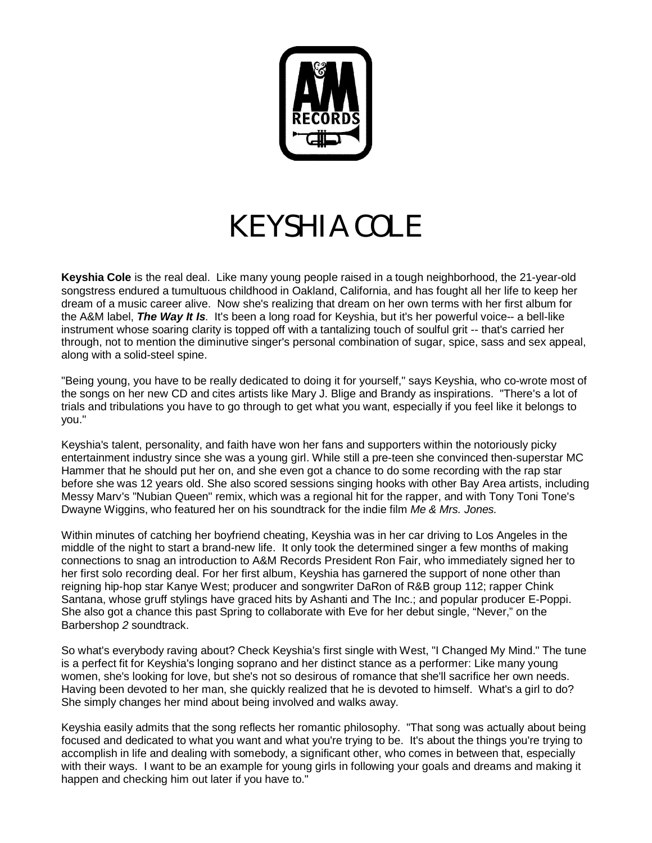

## *KEYSHIA COLE*

**Keyshia Cole** is the real deal. Like many young people raised in a tough neighborhood, the 21-year-old songstress endured a tumultuous childhood in Oakland, California, and has fought all her life to keep her dream of a music career alive. Now she's realizing that dream on her own terms with her first album for the A&M label, *The Way It Is*. It's been a long road for Keyshia, but it's her powerful voice-- a bell-like instrument whose soaring clarity is topped off with a tantalizing touch of soulful grit -- that's carried her through, not to mention the diminutive singer's personal combination of sugar, spice, sass and sex appeal, along with a solid-steel spine.

"Being young, you have to be really dedicated to doing it for yourself," says Keyshia, who co-wrote most of the songs on her new CD and cites artists like Mary J. Blige and Brandy as inspirations. "There's a lot of trials and tribulations you have to go through to get what you want, especially if you feel like it belongs to you."

Keyshia's talent, personality, and faith have won her fans and supporters within the notoriously picky entertainment industry since she was a young girl. While still a pre-teen she convinced then-superstar MC Hammer that he should put her on, and she even got a chance to do some recording with the rap star before she was 12 years old. She also scored sessions singing hooks with other Bay Area artists, including Messy Marv's "Nubian Queen" remix, which was a regional hit for the rapper, and with Tony Toni Tone's Dwayne Wiggins, who featured her on his soundtrack for the indie film *Me & Mrs. Jones.*

Within minutes of catching her boyfriend cheating, Keyshia was in her car driving to Los Angeles in the middle of the night to start a brand-new life. It only took the determined singer a few months of making connections to snag an introduction to A&M Records President Ron Fair, who immediately signed her to her first solo recording deal. For her first album, Keyshia has garnered the support of none other than reigning hip-hop star Kanye West; producer and songwriter DaRon of R&B group 112; rapper Chink Santana, whose gruff stylings have graced hits by Ashanti and The Inc.; and popular producer E-Poppi. She also got a chance this past Spring to collaborate with Eve for her debut single, "Never," on the Barbershop *2* soundtrack.

So what's everybody raving about? Check Keyshia's first single with West, "I Changed My Mind." The tune is a perfect fit for Keyshia's longing soprano and her distinct stance as a performer: Like many young women, she's looking for love, but she's not so desirous of romance that she'll sacrifice her own needs. Having been devoted to her man, she quickly realized that he is devoted to himself. What's a girl to do? She simply changes her mind about being involved and walks away.

Keyshia easily admits that the song reflects her romantic philosophy. "That song was actually about being focused and dedicated to what you want and what you're trying to be. It's about the things you're trying to accomplish in life and dealing with somebody, a significant other, who comes in between that, especially with their ways. I want to be an example for young girls in following your goals and dreams and making it happen and checking him out later if you have to."